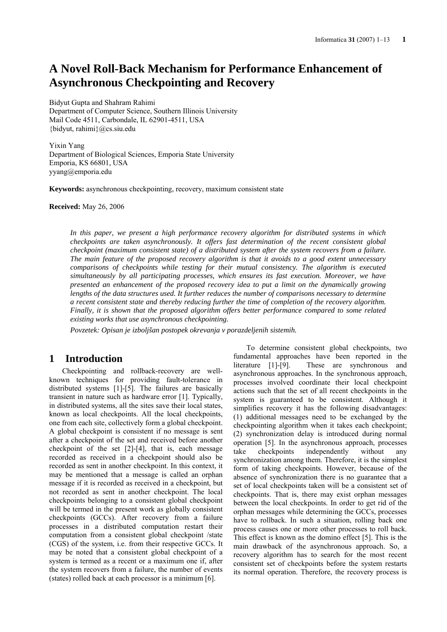# **A Novel Roll-Back Mechanism for Performance Enhancement of Asynchronous Checkpointing and Recovery**

Bidyut Gupta and Shahram Rahimi Department of Computer Science, Southern Illinois University Mail Code 4511, Carbondale, IL 62901-4511, USA {bidyut, rahimi}@cs.siu.edu

Yixin Yang Department of Biological Sciences, Emporia State University Emporia, KS 66801, USA yyang@emporia.edu

**Keywords:** asynchronous checkpointing, recovery, maximum consistent state

**Received:** May 26, 2006

*In this paper, we present a high performance recovery algorithm for distributed systems in which checkpoints are taken asynchronously. It offers fast determination of the recent consistent global checkpoint (maximum consistent state) of a distributed system after the system recovers from a failure. The main feature of the proposed recovery algorithm is that it avoids to a good extent unnecessary comparisons of checkpoints while testing for their mutual consistency. The algorithm is executed simultaneously by all participating processes, which ensures its fast execution. Moreover, we have presented an enhancement of the proposed recovery idea to put a limit on the dynamically growing lengths of the data structures used. It further reduces the number of comparisons necessary to determine a recent consistent state and thereby reducing further the time of completion of the recovery algorithm. Finally, it is shown that the proposed algorithm offers better performance compared to some related existing works that use asynchronous checkpointing.* 

*Povzetek: Opisan je izboljšan postopek okrevanja v porazdeljenih sistemih.* 

## **1 Introduction**

Checkpointing and rollback-recovery are wellknown techniques for providing fault-tolerance in distributed systems [1]-[5]. The failures are basically transient in nature such as hardware error [1]. Typically, in distributed systems, all the sites save their local states, known as local checkpoints. All the local checkpoints, one from each site, collectively form a global checkpoint. A global checkpoint is consistent if no message is sent after a checkpoint of the set and received before another checkpoint of the set [2]-[4], that is, each message recorded as received in a checkpoint should also be recorded as sent in another checkpoint. In this context, it may be mentioned that a message is called an orphan message if it is recorded as received in a checkpoint, but not recorded as sent in another checkpoint. The local checkpoints belonging to a consistent global checkpoint will be termed in the present work as globally consistent checkpoints (GCCs). After recovery from a failure processes in a distributed computation restart their computation from a consistent global checkpoint /state (CGS) of the system, i.e. from their respective GCCs. It may be noted that a consistent global checkpoint of a system is termed as a recent or a maximum one if, after the system recovers from a failure, the number of events (states) rolled back at each processor is a minimum [6].

To determine consistent global checkpoints, two fundamental approaches have been reported in the literature [1]-[9]. These are synchronous and asynchronous approaches. In the synchronous approach, processes involved coordinate their local checkpoint actions such that the set of all recent checkpoints in the system is guaranteed to be consistent. Although it simplifies recovery it has the following disadvantages: (1) additional messages need to be exchanged by the checkpointing algorithm when it takes each checkpoint; (2) synchronization delay is introduced during normal operation [5]. In the asynchronous approach, processes take checkpoints independently without any synchronization among them. Therefore, it is the simplest form of taking checkpoints. However, because of the absence of synchronization there is no guarantee that a set of local checkpoints taken will be a consistent set of checkpoints. That is, there may exist orphan messages between the local checkpoints. In order to get rid of the orphan messages while determining the GCCs, processes have to rollback. In such a situation, rolling back one process causes one or more other processes to roll back. This effect is known as the domino effect [5]. This is the main drawback of the asynchronous approach. So, a recovery algorithm has to search for the most recent consistent set of checkpoints before the system restarts its normal operation. Therefore, the recovery process is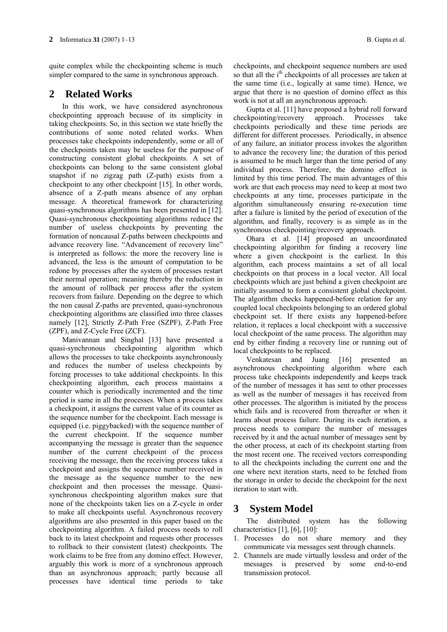quite complex while the checkpointing scheme is much simpler compared to the same in synchronous approach.

## **2 Related Works**

In this work, we have considered asynchronous checkpointing approach because of its simplicity in taking checkpoints. So, in this section we state briefly the contributions of some noted related works. When processes take checkpoints independently, some or all of the checkpoints taken may be useless for the purpose of constructing consistent global checkpoints. A set of checkpoints can belong to the same consistent global snapshot if no zigzag path (Z-path) exists from a checkpoint to any other checkpoint [15]. In other words, absence of a Z-path means absence of any orphan message. A theoretical framework for characterizing quasi-synchronous algorithms has been presented in [12]. Quasi-synchronous checkpointing algorithms reduce the number of useless checkpoints by preventing the formation of noncausal Z-paths between checkpoints and advance recovery line. "Advancement of recovery line" is interpreted as follows: the more the recovery line is advanced, the less is the amount of computation to be redone by processes after the system of processes restart their normal operation; meaning thereby the reduction in the amount of rollback per process after the system recovers from failure. Depending on the degree to which the non causal Z-paths are prevented, quasi-synchronous checkpointing algorithms are classified into three classes namely [12], Strictly Z-Path Free (SZPF), Z-Path Free (ZPF), and Z-Cycle Free (ZCF).

Manivannan and Singhal [13] have presented a quasi-synchronous checkpointing algorithm which allows the processes to take checkpoints asynchronously and reduces the number of useless checkpoints by forcing processes to take additional checkpoints. In this checkpointing algorithm, each process maintains a counter which is periodically incremented and the time period is same in all the processes. When a process takes a checkpoint, it assigns the current value of its counter as the sequence number for the checkpoint. Each message is equipped (i.e. piggybacked) with the sequence number of the current checkpoint. If the sequence number accompanying the message is greater than the sequence number of the current checkpoint of the process receiving the message, then the receiving process takes a checkpoint and assigns the sequence number received in the message as the sequence number to the new checkpoint and then processes the message. Quasisynchronous checkpointing algorithm makes sure that none of the checkpoints taken lies on a Z-cycle in order to make all checkpoints useful. Asynchronous recovery algorithms are also presented in this paper based on the checkpointing algorithm. A failed process needs to roll back to its latest checkpoint and requests other processes to rollback to their consistent (latest) checkpoints. The work claims to be free from any domino effect. However, arguably this work is more of a synchronous approach than an asynchronous approach; partly because all processes have identical time periods to take checkpoints, and checkpoint sequence numbers are used so that all the i<sup>th</sup> checkpoints of all processes are taken at the same time (i.e., logically at same time). Hence, we argue that there is no question of domino effect as this work is not at all an asynchronous approach.

Gupta et al. [11] have proposed a hybrid roll forward checkpointing/recovery approach. Processes take checkpoints periodically and these time periods are different for different processes. Periodically, in absence of any failure, an initiator process invokes the algorithm to advance the recovery line; the duration of this period is assumed to be much larger than the time period of any individual process. Therefore, the domino effect is limited by this time period. The main advantages of this work are that each process may need to keep at most two checkpoints at any time, processes participate in the algorithm simultaneously ensuring re-execution time after a failure is limited by the period of execution of the algorithm, and finally, recovery is as simple as in the synchronous checkpointing/recovery approach.

Ohara et al. [14] proposed an uncoordinated checkpointing algorithm for finding a recovery line where a given checkpoint is the earliest. In this algorithm, each process maintains a set of all local checkpoints on that process in a local vector. All local checkpoints which are just behind a given checkpoint are initially assumed to form a consistent global checkpoint. The algorithm checks happened-before relation for any coupled local checkpoints belonging to an ordered global checkpoint set. If there exists any happened-before relation, it replaces a local checkpoint with a successive local checkpoint of the same process. The algorithm may end by either finding a recovery line or running out of local checkpoints to be replaced.

Venkatesan and Juang [16] presented an asynchronous checkpointing algorithm where each process take checkpoints independently and keeps track of the number of messages it has sent to other processes as well as the number of messages it has received from other processes. The algorithm is initiated by the process which fails and is recovered from thereafter or when it learns about process failure. During its each iteration, a process needs to compare the number of messages received by it and the actual number of messages sent by the other process, at each of its checkpoint starting from the most recent one. The received vectors corresponding to all the checkpoints including the current one and the one where next iteration starts, need to be fetched from the storage in order to decide the checkpoint for the next iteration to start with.

## **3 System Model**

The distributed system has the following characteristics [1], [6], [10]:

- 1. Processes do not share memory and they communicate via messages sent through channels.
- 2. Channels are made virtually lossless and order of the messages is preserved by some end-to-end transmission protocol.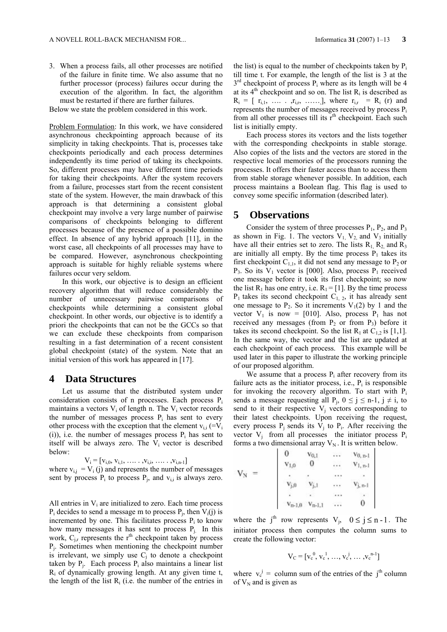3. When a process fails, all other processes are notified of the failure in finite time. We also assume that no further processor (process) failures occur during the execution of the algorithm. In fact, the algorithm must be restarted if there are further failures.

Below we state the problem considered in this work.

Problem Formulation: In this work, we have considered asynchronous checkpointing approach because of its simplicity in taking checkpoints. That is, processes take checkpoints periodically and each process determines independently its time period of taking its checkpoints. So, different processes may have different time periods for taking their checkpoints. After the system recovers from a failure, processes start from the recent consistent state of the system. However, the main drawback of this approach is that determining a consistent global checkpoint may involve a very large number of pairwise comparisons of checkpoints belonging to different processes because of the presence of a possible domino effect. In absence of any hybrid approach [11], in the worst case, all checkpoints of all processes may have to be compared. However, asynchronous checkpointing approach is suitable for highly reliable systems where failures occur very seldom.

In this work, our objective is to design an efficient recovery algorithm that will reduce considerably the number of unnecessary pairwise comparisons of checkpoints while determining a consistent global checkpoint. In other words, our objective is to identify a priori the checkpoints that can not be the GCCs so that we can exclude these checkpoints from comparison resulting in a fast determination of a recent consistent global checkpoint (state) of the system. Note that an initial version of this work has appeared in [17].

#### **4 Data Structures**

Let us assume that the distributed system under consideration consists of n processes. Each process Pi maintains a vectors  $V_i$  of length n. The  $V_i$  vector records the number of messages process  $P_i$  has sent to every other process with the exception that the element  $v_{i,i}$  (=V<sub>i</sub> (i)), i.e. the number of messages process  $P_i$  has sent to itself will be always zero. The  $V_i$  vector is described below:

 $V_i = [v_{i,0}, v_{i,1}, \ldots, v_{i,i}, \ldots, v_{i,n-1}]$ where  $v_{i,j} = V_i(j)$  and represents the number of messages sent by process  $P_i$  to process  $P_i$ , and  $v_{i,i}$  is always zero.

All entries in  $V_i$  are initialized to zero. Each time process  $P_i$  decides to send a message m to process  $P_i$ , then  $V_i(i)$  is incremented by one. This facilitates process  $P_i$  to know how many messages it has sent to process P<sub>j.</sub> In this work,  $C_{j,r}$  represents the r<sup>th</sup> checkpoint taken by process Pj. Sometimes when mentioning the checkpoint number is irrelevant, we simply use  $C_i$  to denote a checkpoint taken by  $P_i$ . Each process  $P_i$  also maintains a linear list  $R_i$  of dynamically growing length. At any given time t, the length of the list  $R_i$  (i.e. the number of the entries in the list) is equal to the number of checkpoints taken by  $P_i$ till time t. For example, the length of the list is 3 at the  $3<sup>rd</sup>$  checkpoint of process P<sub>i</sub> where as its length will be 4 at its  $4<sup>th</sup>$  checkpoint and so on. The list  $R<sub>i</sub>$  is described as  $R_i = [r_{i,1}, \ldots, r_{i,r}, \ldots]$ , where  $r_{i,r} = R_i$  (r) and represents the number of messages received by process Pi from all other processes till its  $r<sup>th</sup>$  checkpoint. Each such list is initially empty.

Each process stores its vectors and the lists together with the corresponding checkpoints in stable storage. Also copies of the lists and the vectors are stored in the respective local memories of the processors running the processes. It offers their faster access than to access them from stable storage whenever possible. In addition, each process maintains a Boolean flag. This flag is used to convey some specific information (described later).

#### **5 Observations**

Consider the system of three processes  $P_1$ ,  $P_2$ , and  $P_3$ as shown in Fig. 1. The vectors  $V_1$ ,  $V_2$  and  $V_3$  initially have all their entries set to zero. The lists  $R_1, R_2$  and  $R_3$ are initially all empty. By the time process  $P_1$  takes its first checkpoint  $C_{1,1}$ , it did not send any message to  $P_2$  or  $P_3$ . So its  $V_1$  vector is [000]. Also, process  $P_1$  received one message before it took its first checkpoint; so now the list  $R_1$  has one entry, i.e.  $R_1 = [1]$ . By the time process  $P_1$  takes its second checkpoint  $C_{1, 2}$ , it has already sent one message to  $P_2$ . So it increments  $V_1(2)$  by 1 and the vector  $V_1$  is now = [010]. Also, process  $P_1$  has not received any messages (from  $P_2$  or from  $P_3$ ) before it takes its second checkpoint. So the list  $R_1$  at  $C_{1,2}$  is [1,1]. In the same way, the vector and the list are updated at each checkpoint of each process. This example will be used later in this paper to illustrate the working principle of our proposed algorithm.

We assume that a process  $P_i$  after recovery from its failure acts as the initiator process, i.e.,  $P_i$  is responsible for invoking the recovery algorithm. To start with  $P_i$ sends a message requesting all  $P_i$ ,  $0 \le j \le n-1$ ,  $j \ne i$ , to send to it their respective  $V_j$  vectors corresponding to their latest checkpoints. Upon receiving the request, every process  $P_i$  sends its  $V_i$  to  $P_i$ . After receiving the vector  $V_j$  from all processes the initiator process  $P_i$ forms a two dimensional array  $V_N$ . It is written below.

$$
V_N = \n\begin{array}{ccccc}\n0 & v_{0,1} & \dots & v_{0,n-1} \\
v_{1,0} & 0 & \dots & v_{1,n-1} \\
\vdots & \vdots & \ddots & \vdots \\
v_{j,0} & v_{j,1} & \dots & v_{j,n-1} \\
\vdots & \vdots & \ddots & \vdots \\
v_{n-1,0} & v_{n-1,1} & \dots & 0\n\end{array}
$$

where the j<sup>th</sup> row represents  $V_j$ ,  $0 \le j \le n-1$ . The initiator process then computes the column sums to create the following vector:

$$
V_C = [v_c^0, v_c^1, \ldots, v_c^j, \ldots, v_c^{n-1}]
$$

where  $v_c^j$  = column sum of the entries of the j<sup>th</sup> column of  $V_N$  and is given as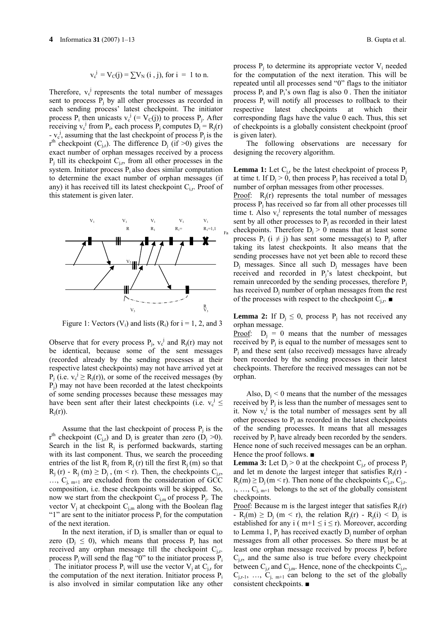$$
v_c^j = V_c(j) = \sum V_N(i, j)
$$
, for  $i = 1$  to n.

Therefore,  $v_c^j$  represents the total number of messages sent to process  $P_i$  by all other processes as recorded in each sending process' latest checkpoint. The initiator process  $P_i$  then unicasts  $v_c^j$  (=  $V_c(j)$ ) to process  $P_j$ . After receiving  $v_c^j$  from  $P_i$ , each process  $P_j$  computes  $D_j = R_j(r)$ -  $v_c^j$ , assuming that the last checkpoint of process  $P_j$  is the  $r<sup>th</sup>$  checkpoint (C<sub>i,r</sub>). The difference D<sub>i</sub> (if >0) gives the exact number of orphan messages received by a process  $P_i$  till its checkpoint  $C_{i,r}$ , from all other processes in the system. Initiator process  $P_i$  also does similar computation to determine the exact number of orphan messages (if any) it has received till its latest checkpoint  $C_{i,r}$ . Proof of this statement is given later.



Figure 1: Vectors  $(V_i)$  and lists  $(R_i)$  for  $i = 1, 2,$  and 3

Observe that for every process  $P_j$ ,  $v_c^j$  and  $R_j(r)$  may not be identical, because some of the sent messages (recorded already by the sending processes at their respective latest checkpoints) may not have arrived yet at  $P_j$  (i.e.  $v_c^j \ge R_j(r)$ ), or some of the received messages (by Pj) may not have been recorded at the latest checkpoints of some sending processes because these messages may have been sent after their latest checkpoints (i.e.  $v_c^j \leq$  $R_i(r)$ ).

Assume that the last checkpoint of process  $P_i$  is the  $r<sup>th</sup>$  checkpoint (C<sub>j,r</sub>) and D<sub>j</sub> is greater than zero (D<sub>j</sub> >0). Search in the list  $R_i$  is performed backwards, starting with its last component. Thus, we search the proceeding entries of the list  $R_i$  from  $R_i$  (r) till the first  $R_i$  (m) so that  $R_i$  (r) -  $R_i$  (m)  $\geq D_i$ , (m < r). Then, the checkpoints  $C_{i,r}$ ,  $..., C_{i,m+1}$  are excluded from the consideration of GCC composition, i.e. these checkpoints will be skipped. So, now we start from the checkpoint  $C_{j,m}$  of process  $P_j$ . The vector  $V_i$  at checkpoint  $C_{i,m}$  along with the Boolean flag "1" are sent to the initiator process  $P_i$  for the computation of the next iteration.

In the next iteration, if  $D_i$  is smaller than or equal to zero ( $D_i \leq 0$ ), which means that process  $P_i$  has not received any orphan message till the checkpoint  $C_{i,r}$ . process  $P_i$  will send the flag "0" to the initiator process  $P_i$ 

The initiator process  $P_i$  will use the vector  $V_i$  at  $C_i$ , for the computation of the next iteration. Initiator process  $P_i$ is also involved in similar computation like any other

process  $P_i$  to determine its appropriate vector  $V_i$  needed for the computation of the next iteration. This will be repeated until all processes send "0" flags to the initiator process  $P_i$  and  $P_i$ 's own flag is also 0. Then the initiator process  $P_i$  will notify all processes to rollback to their respective latest checkpoints at which their corresponding flags have the value 0 each. Thus, this set of checkpoints is a globally consistent checkpoint (proof is given later).

The following observations are necessary for designing the recovery algorithm.

**Lemma 1:** Let  $C_i$  be the latest checkpoint of process  $P_i$ at time t. If  $D_i > 0$ , then process  $P_i$  has received a total  $D_i$ number of orphan messages from other processes.

Proof:  $R_i(r)$  represents the total number of messages process Pj has received so far from all other processes till time t. Also  $v_c^j$  represents the total number of messages sent by all other processes to  $P_i$  as recorded in their latest checkpoints. Therefore  $D_i > 0$  means that at least some process  $P_i$  (i  $\neq$  j) has sent some message(s) to  $P_i$  after taking its latest checkpoints. It also means that the sending processes have not yet been able to record these  $D_i$  messages. Since all such  $D_i$  messages have been received and recorded in Pj's latest checkpoint, but remain unrecorded by the sending processes, therefore  $P_i$ has received D<sub>i</sub> number of orphan messages from the rest of the processes with respect to the checkpoint  $C_{i,r}$ .

**Lemma 2:** If  $D_i \leq 0$ , process  $P_i$  has not received any orphan message.

Proof:  $D_i = 0$  means that the number of messages received by  $P_i$  is equal to the number of messages sent to  $P_i$  and these sent (also received) messages have already been recorded by the sending processes in their latest checkpoints. Therefore the received messages can not be orphan.

Also,  $D<sub>i</sub> < 0$  means that the number of the messages received by  $P_i$  is less than the number of messages sent to it. Now  $v_c^j$  is the total number of messages sent by all other processes to  $P_i$  as recorded in the latest checkpoints of the sending processes. It means that all messages received by  $P_i$  have already been recorded by the senders. Hence none of such received messages can be an orphan. Hence the proof follows. ■

**Lemma 3:** Let  $D_j > 0$  at the checkpoint  $C_{j,r}$  of process  $P_j$ and let m denote the largest integer that satisfies  $R_i(r)$  - $R_i(m) \ge D_i(m \le r)$ . Then none of the checkpoints  $C_{i,r}$ ,  $C_{i,r}$  $1, \ldots, C_{i,m+1}$  belongs to the set of the globally consistent checkpoints.

Proof: Because m is the largest integer that satisfies  $R_i(r)$  $-R_i(m) \ge D_i$  (m < r), the relation  $R_i(r) - R_i(i)$  <  $D_i$  is established for any i ( $m+1 \le i \le r$ ). Moreover, according to Lemma 1,  $P_i$  has received exactly  $D_i$  number of orphan messages from all other processes. So there must be at least one orphan message received by process  $P_i$  before  $C_{i,r}$ , and the same also is true before every checkpoint between  $C_{j,r}$  and  $C_{j,m}$ . Hence, none of the checkpoints  $C_{j,r}$ ,  $C_{i,r-1}$ , ...,  $C_{i,m+1}$  can belong to the set of the globally consistent checkpoints. ■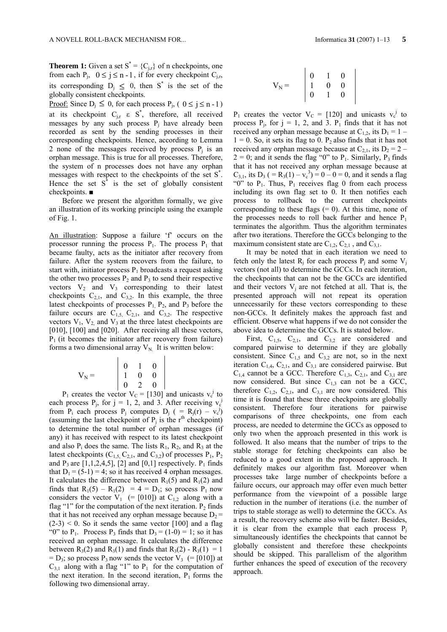**Theorem 1:** Given a set  $S^* = \{C_{j,r}\}\$  of n checkpoints, one from each P<sub>i</sub>,  $0 \le j \le n-1$ , if for every checkpoint C<sub>i,r</sub>, its corresponding  $D_j \leq 0$ , then S<sup>\*</sup> is the set of the globally consistent checkpoints.

<u>Proof:</u> Since  $D_i \le 0$ , for each process  $P_i$ , (  $0 \le j \le n-1$ ) at its checkpoint  $C_{j,r}$   $\varepsilon$   $S^*$ , therefore, all received messages by any such process  $P_i$  have already been recorded as sent by the sending processes in their corresponding checkpoints. Hence, according to Lemma 2 none of the messages received by process  $P_i$  is an orphan message. This is true for all processes. Therefore, the system of n processes does not have any orphan messages with respect to the checkpoints of the set S\* . Hence the set  $S^*$  is the set of globally consistent checkpoints. ■

Before we present the algorithm formally, we give an illustration of its working principle using the example of Fig. 1.

An illustration: Suppose a failure 'f' occurs on the processor running the process  $P_1$ . The process  $P_1$  that became faulty, acts as the initiator after recovery from failure. After the system recovers from the failure, to start with, initiator process  $P_1$  broadcasts a request asking the other two processes  $P_2$  and  $P_3$  to send their respective vectors  $V_2$  and  $V_3$  corresponding to their latest checkpoints  $C_{2,1}$ , and  $C_{3,2}$ . In this example, the three latest checkpoints of processes  $P_1$ ,  $P_2$ , and  $P_3$  before the failure occurs are  $C_{1,5}$ ,  $C_{2,1}$ , and  $C_{3,2}$ . The respective vectors  $V_1$ ,  $V_2$  and  $V_3$  at the three latest checkpoints are [010], [100] and [020]. After receiving all these vectors,  $P_1$  (it becomes the initiator after recovery from failure) forms a two dimensional array  $V_N$ . It is written below:

$$
V_{N} = \begin{bmatrix} 0 & 1 & 0 \\ 1 & 0 & 0 \\ 0 & 2 & 0 \end{bmatrix}
$$

 $P_1$  creates the vector  $V_C = [130]$  and unicasts  $v_c^j$  to each process  $P_j$ , for  $j = 1, 2,$  and 3. After receiving  $v_c^j$ from  $P_i$  each process  $P_j$  computes  $D_j$  ( =  $R_j(r) - v_c^j$ ) (assuming the last checkpoint of  $P_j$  is the r<sup>th</sup> checkpoint) to determine the total number of orphan messages (if any) it has received with respect to its latest checkpoint and also  $P_i$  does the same. The lists  $R_1$ ,  $R_2$ , and  $R_3$  at the latest checkpoints  $(C_{1,5}, C_{2,1},$  and  $C_{3,2})$  of processes  $P_1$ ,  $P_2$ and  $P_3$  are [1,1,2,4,5], [2] and [0,1] respectively.  $P_1$  finds that  $D_1 = (5-1) = 4$ ; so it has received 4 orphan messages. It calculates the difference between  $R_1(5)$  and  $R_1(2)$  and finds that  $R_1(5) - R_1(2) = 4 = D_1$ ; so process  $P_1$  now considers the vector  $V_1$  (= [010]) at  $C_{1,2}$  along with a flag "1" for the computation of the next iteration.  $P_2$  finds that it has not received any orphan message because  $D_2$  =  $(2-3) < 0$ . So it sends the same vector [100] and a flag "0" to P<sub>1</sub>. Process P<sub>3</sub> finds that  $D_3 = (1-0) = 1$ ; so it has received an orphan message. It calculates the difference between  $R_3(2)$  and  $R_3(1)$  and finds that  $R_3(2) - R_3(1) = 1$  $= D_3$ ; so process P<sub>3</sub> now sends the vector V<sub>3</sub> (= [010]) at  $C_{31}$  along with a flag "1" to P<sub>1</sub> for the computation of the next iteration. In the second iteration,  $P_1$  forms the following two dimensional array.

$$
V_N = \left|\begin{array}{ccc} 0 & 1 & 0 \\ 1 & 0 & 0 \\ 0 & 1 & 0 \end{array}\right|
$$

 $P_1$  creates the vector  $V_C = [120]$  and unicasts  $v_c^j$  to process  $P_i$ , for  $j = 1, 2,$  and 3.  $P_1$  finds that it has not received any orphan message because at  $C_{1,2}$ , its  $D_1 = 1 1 = 0$ . So, it sets its flag to 0. P<sub>2</sub> also finds that it has not received any orphan message because at  $C_{2,1}$ , its  $D_2 = 2 2 = 0$ ; and it sends the flag "0" to P<sub>1</sub>. Similarly, P<sub>3</sub> finds that it has not received any orphan message because at  $C_{3,1}$ , its  $D_3$  (=R<sub>3</sub>(1) – v<sub>c</sub><sup>3</sup>) = 0 – 0 = 0, and it sends a flag "0" to  $P_1$ . Thus,  $P_1$  receives flag 0 from each process including its own flag set to 0. It then notifies each process to rollback to the current checkpoints corresponding to these flags  $(= 0)$ . At this time, none of the processes needs to roll back further and hence  $P_1$ terminates the algorithm. Thus the algorithm terminates after two iterations. Therefore the GCCs belonging to the maximum consistent state are  $C_{1,2}$ ,  $C_{2,1}$ , and  $C_{3,1}$ .

It may be noted that in each iteration we need to fetch only the latest  $R_i$  for each process  $P_i$  and some  $V_i$ vectors (not all) to determine the GCCs. In each iteration, the checkpoints that can not be the GCCs are identified and their vectors  $V_i$  are not fetched at all. That is, the presented approach will not repeat its operation unnecessarily for these vectors corresponding to these non-GCCs. It definitely makes the approach fast and efficient. Observe what happens if we do not consider the above idea to determine the GCCs. It is stated below.

First,  $C_{1,5}$ ,  $C_{2,1}$ , and  $C_{3,2}$  are considered and compared pairwise to determine if they are globally consistent. Since  $C_{1,5}$  and  $C_{3,2}$  are not, so in the next iteration  $C_{1,4}$ ,  $C_{2,1}$ , and  $C_{3,1}$  are considered pairwise. But  $C_{1,4}$  cannot be a GCC. Therefore  $C_{1,3}$ ,  $C_{2,1}$ , and  $C_{3,1}$  are now considered. But since  $C_{1,3}$  can not be a GCC, therefore  $C_{1,2}$ ,  $C_{2,1}$ , and  $C_{3,1}$  are now considered. This time it is found that these three checkpoints are globally consistent. Therefore four iterations for pairwise comparisons of three checkpoints, one from each process, are needed to determine the GCCs as opposed to only two when the approach presented in this work is followed. It also means that the number of trips to the stable storage for fetching checkpoints can also be reduced to a good extent in the proposed approach. It definitely makes our algorithm fast. Moreover when processes take large number of checkpoints before a failure occurs, our approach may offer even much better performance from the viewpoint of a possible large reduction in the number of iterations (i.e. the number of trips to stable storage as well) to determine the GCCs. As a result, the recovery scheme also will be faster. Besides, it is clear from the example that each process  $P_i$ simultaneously identifies the checkpoints that cannot be globally consistent and therefore these checkpoints should be skipped. This parallelism of the algorithm further enhances the speed of execution of the recovery approach.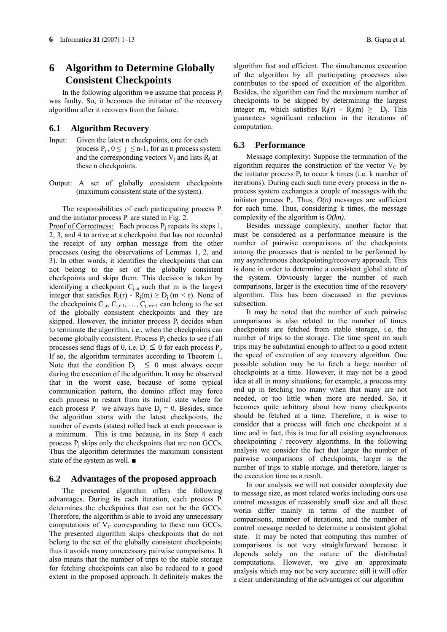## **6 Algorithm to Determine Globally Consistent Checkpoints**

In the following algorithm we assume that process  $P_i$ was faulty. So, it becomes the initiator of the recovery algorithm after it recovers from the failure.

#### **6.1 Algorithm Recovery**

- Input:Given the latest n checkpoints, one for each process  $P_i$ ,  $0 \le j \le n-1$ , for an n process system and the corresponding vectors  $V_i$  and lists  $R_i$  at these n checkpoints.
- Output: A set of globally consistent checkpoints (maximum consistent state of the system).

The responsibilities of each participating process  $P_i$ and the initiator process  $P_i$  are stated in Fig. 2. Proof of Correctness: Each process  $P_i$  repeats its steps 1,

2, 3, and 4 to arrive at a checkpoint that has not recorded the receipt of any orphan message from the other processes (using the observations of Lemmas 1, 2, and 3). In other words, it identifies the checkpoints that can not belong to the set of the globally consistent checkpoints and skips them. This decision is taken by identifying a checkpoint  $C_{j,m}$  such that m is the largest integer that satisfies  $R_j(r) - R_j(m) \ge D_j(m < r)$ . None of the checkpoints  $C_{i,r}$ ,  $C_{i,r-1}$ , …,  $C_{i,m+1}$  can belong to the set of the globally consistent checkpoints and they are skipped. However, the initiator process  $P_i$  decides when to terminate the algorithm, i.e., when the checkpoints can become globally consistent. Process  $P_i$  checks to see if all processes send flags of 0, i.e.  $D_i \leq 0$  for each process  $P_i$ . If so, the algorithm terminates according to Theorem 1. Note that the condition  $D_i \leq 0$  must always occur during the execution of the algorithm. It may be observed that in the worst case, because of some typical communication pattern, the domino effect may force each process to restart from its initial state where for each process  $P_i$  we always have  $D_i = 0$ . Besides, since the algorithm starts with the latest checkpoints, the number of events (states) rolled back at each processor is a minimum. This is true because, in its Step 4 each process  $P_i$  skips only the checkpoints that are non GCCs. Thus the algorithm determines the maximum consistent state of the system as well. ■

#### **6.2 Advantages of the proposed approach**

The presented algorithm offers the following advantages. During its each iteration, each process  $P_i$ determines the checkpoints that can not be the GCCs. Therefore, the algorithm is able to avoid any unnecessary computations of  $V_C$  corresponding to these non GCCs. The presented algorithm skips checkpoints that do not belong to the set of the globally consistent checkpoints; thus it avoids many unnecessary pairwise comparisons. It also means that the number of trips to the stable storage for fetching checkpoints can also be reduced to a good extent in the proposed approach. It definitely makes the

algorithm fast and efficient. The simultaneous execution of the algorithm by all participating processes also contributes to the speed of execution of the algorithm. Besides, the algorithm can find the maximum number of checkpoints to be skipped by determining the largest integer m, which satisfies  $R_i(r) - R_i(m) \ge D_i$ . This guarantees significant reduction in the iterations of computation.

#### **6.3 Performance**

Message complexity**:** Suppose the termination of the algorithm requires the construction of the vector  $V_C$  by the initiator process  $P_i$  to occur k times (i.e. k number of iterations). During each such time every process in the nprocess system exchanges a couple of messages with the initiator process  $P_i$ . Thus,  $O(n)$  messages are sufficient for each time. Thus, considering k times, the message complexity of the algorithm is *O(kn)*.

Besides message complexity, another factor that must be considered as a performance measure is the number of pairwise comparisons of the checkpoints among the processes that is needed to be performed by any asynchronous checkpointing/recovery approach. This is done in order to determine a consistent global state of the system. Obviously larger the number of such comparisons, larger is the execution time of the recovery algorithm. This has been discussed in the previous subsection.

It may be noted that the number of such pairwise comparisons is also related to the number of times checkpoints are fetched from stable storage, i.e. the number of trips to the storage. The time spent on such trips may be substantial enough to affect to a good extent the speed of execution of any recovery algorithm. One possible solution may be to fetch a large number of checkpoints at a time. However, it may not be a good idea at all in many situations; for example, a process may end up in fetching too many when that many are not needed, or too little when more are needed. So, it becomes quite arbitrary about how many checkpoints should be fetched at a time. Therefore, it is wise to consider that a process will fetch one checkpoint at a time and in fact, this is true for all existing asynchronous checkpointing / recovery algorithms. In the following analysis we consider the fact that larger the number of pairwise comparisons of checkpoints, larger is the number of trips to stable storage, and therefore, larger is the execution time as a result.

In our analysis we will not consider complexity due to message size, as most related works including ours use control messages of reasonably small size and all these works differ mainly in terms of the number of comparisons, number of iterations, and the number of control message needed to determine a consistent global state. It may be noted that computing this number of comparisons is not very straightforward because it depends solely on the nature of the distributed computations. However, we give an approximate analysis which may not be very accurate; still it will offer a clear understanding of the advantages of our algorithm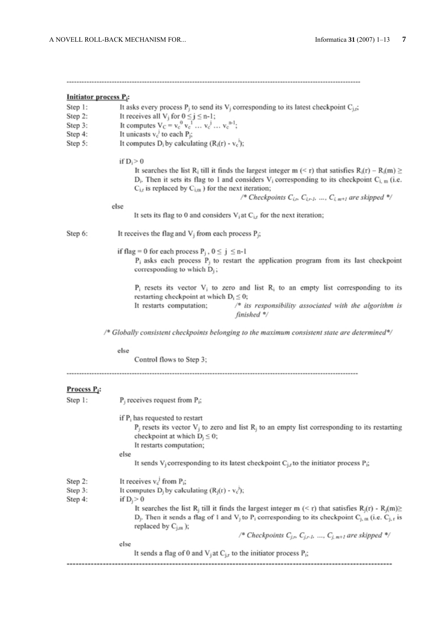| Initiator process P <sub>i</sub> : |                                                                                                                                                                                                                                                                                                                                                                                                                                                                                                                         |  |
|------------------------------------|-------------------------------------------------------------------------------------------------------------------------------------------------------------------------------------------------------------------------------------------------------------------------------------------------------------------------------------------------------------------------------------------------------------------------------------------------------------------------------------------------------------------------|--|
| Step 1:                            | It asks every process $P_j$ to send its $V_j$ corresponding to its latest checkpoint $C_{j,i}$ ;                                                                                                                                                                                                                                                                                                                                                                                                                        |  |
| Step 2:                            | It receives all $V_j$ for $0 \le j \le n-1$ ;                                                                                                                                                                                                                                                                                                                                                                                                                                                                           |  |
| Step 3:                            | It computes $V_C = v_c^0 v_c^1  v_c^j  v_c^{n-1}$ ;                                                                                                                                                                                                                                                                                                                                                                                                                                                                     |  |
| Step 4:                            | It unicasts $v_c^j$ to each $P_i$ ;                                                                                                                                                                                                                                                                                                                                                                                                                                                                                     |  |
| Step 5:                            | It computes $D_i$ by calculating $(R_i(r) - v_c)$ ;                                                                                                                                                                                                                                                                                                                                                                                                                                                                     |  |
|                                    | if $D_i > 0$<br>It searches the list R <sub>i</sub> till it finds the largest integer m (< r) that satisfies R <sub>i</sub> (r) – R <sub>i</sub> (m) $\geq$<br>$D_i$ . Then it sets its flag to 1 and considers V <sub>i</sub> corresponding to its checkpoint C <sub>i, m</sub> (i.e.<br>$C_{i,r}$ is replaced by $C_{i,m}$ ) for the next iteration;<br>/* Checkpoints $C_{i,r}$ , $C_{i,r}$ , , $C_{i, m+1}$ are skipped */                                                                                          |  |
|                                    | else<br>It sets its flag to 0 and considers $V_i$ at $C_{i,r}$ for the next iteration;                                                                                                                                                                                                                                                                                                                                                                                                                                  |  |
| Step 6:                            | It receives the flag and $V_i$ from each process $P_i$ ;                                                                                                                                                                                                                                                                                                                                                                                                                                                                |  |
|                                    | if flag = 0 for each process $P_j$ , $0 \le j \le n-1$<br>$P_i$ asks each process $P_j$ to restart the application program from its last checkpoint<br>corresponding to which $D_i$ ;                                                                                                                                                                                                                                                                                                                                   |  |
|                                    | $P_i$ resets its vector $V_i$ to zero and list $R_i$ to an empty list corresponding to its<br>restarting checkpoint at which $D_i \leq 0$ ;<br>It restarts computation;<br>/* its responsibility associated with the algorithm is<br>finished */                                                                                                                                                                                                                                                                        |  |
|                                    | /* Globally consistent checkpoints belonging to the maximum consistent state are determined*/                                                                                                                                                                                                                                                                                                                                                                                                                           |  |
|                                    | else<br>Control flows to Step 3;                                                                                                                                                                                                                                                                                                                                                                                                                                                                                        |  |
|                                    |                                                                                                                                                                                                                                                                                                                                                                                                                                                                                                                         |  |
| Process P <sub>i</sub> :           |                                                                                                                                                                                                                                                                                                                                                                                                                                                                                                                         |  |
| Step 1:                            | $P_i$ receives request from $P_i$ ;                                                                                                                                                                                                                                                                                                                                                                                                                                                                                     |  |
|                                    | if $P_i$ has requested to restart<br>$P_i$ resets its vector $V_i$ to zero and list $R_i$ to an empty list corresponding to its restarting<br>checkpoint at which $D_j \leq 0$ ;<br>It restarts computation;<br>else                                                                                                                                                                                                                                                                                                    |  |
|                                    | It sends $V_j$ corresponding to its latest checkpoint $C_{j,r}$ to the initiator process $P_j$ ;                                                                                                                                                                                                                                                                                                                                                                                                                        |  |
| Step 2:<br>Step 3:<br>Step 4:      | It receives $v_c^j$ from $P_i$ ;<br>It computes D <sub>i</sub> by calculating $(R_i(r) - v_c^3)$ ;<br>if $D_j > 0$<br>It searches the list R <sub>i</sub> till it finds the largest integer m (< r) that satisfies R <sub>i</sub> (r) - R <sub>i</sub> (m)≥<br>$D_j$ . Then it sends a flag of 1 and V <sub>j</sub> to P <sub>i</sub> corresponding to its checkpoint C <sub>j, m</sub> (i.e. C <sub>j, t</sub> is<br>replaced by $C_{j,m}$ );<br>/* Checkpoints $C_{j,r}$ , $C_{j,r,l}$ , , $C_{j,m+1}$ are skipped */ |  |
|                                    | else                                                                                                                                                                                                                                                                                                                                                                                                                                                                                                                    |  |
|                                    | It sends a flag of 0 and $V_j$ at $C_{j,r}$ to the initiator process $P_j$ ;                                                                                                                                                                                                                                                                                                                                                                                                                                            |  |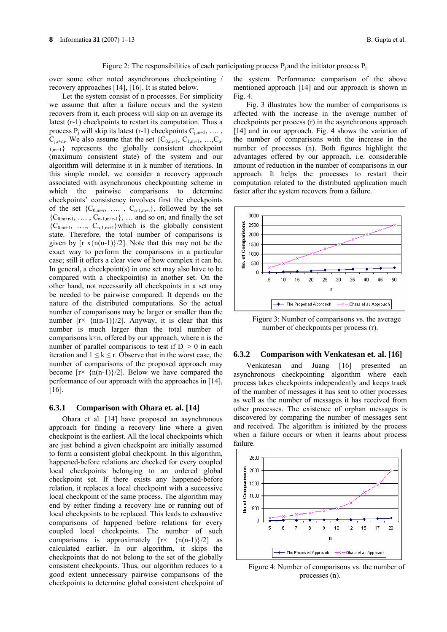#### Figure 2: The responsibilities of each participating process  $P_i$  and the initiator process  $P_i$

over some other noted asynchronous checkpointing / recovery approaches [14], [16]. It is stated below.

Let the system consist of n processes. For simplicity we assume that after a failure occurs and the system recovers from it, each process will skip on an average its latest (r-1) checkpoints to restart its computation. Thus a process  $P_i$  will skip its latest (r-1) checkpoints  $C_{i,m+2}, \ldots$ ,  $C_{i,r+m}$ . We also assume that the set  $\{C_{0,m+1}, C_{1,m+1}, \ldots, C_{n-1}\}$  $1,m+1$ } represents the globally consistent checkpoint (maximum consistent state) of the system and our algorithm will determine it in k number of iterations. In this simple model, we consider a recovery approach associated with asynchronous checkpointing scheme in which the pairwise comparisons to determine checkpoints' consistency involves first the checkpoints of the set  $\{C_{0,m+r}, \ldots, C_{n-1,m+r}\}$ , followed by the set  ${C_{0,m+r-1}, \ldots, C_{n-1,m+r-1}}, \ldots$  and so on, and finally the set  ${C_{0,m+1}, \ldots, C_{n-1,m+1}}$ which is the globally consistent state. Therefore, the total number of comparisons is given by  $[r x{n(n-1)}/2]$ . Note that this may not be the exact way to perform the comparisons in a particular case; still it offers a clear view of how complex it can be. In general, a checkpoint(s) in one set may also have to be compared with a checkpoint(s) in another set. On the other hand, not necessarily all checkpoints in a set may be needed to be pairwise compared. It depends on the nature of the distributed computations. So the actual number of comparisons may be larger or smaller than the number  $[r \times \{n(n-1)\}/2]$ . Anyway, it is clear that this number is much larger than the total number of comparisons  $k \times n$ , offered by our approach, where n is the number of parallel comparisons to test if  $D_i > 0$  in each iteration and  $1 \leq k \leq r$ . Observe that in the worst case, the number of comparisons of the proposed approach may become  $[r \times \{n(n-1)\}/2]$ . Below we have compared the performance of our approach with the approaches in [14], [16].

#### **6.3.1 Comparison with Ohara et. al. [14]**

Ohara et al. [14] have proposed an asynchronous approach for finding a recovery line where a given checkpoint is the earliest. All the local checkpoints which are just behind a given checkpoint are initially assumed to form a consistent global checkpoint. In this algorithm, happened-before relations are checked for every coupled local checkpoints belonging to an ordered global checkpoint set. If there exists any happened-before relation, it replaces a local checkpoint with a successive local checkpoint of the same process. The algorithm may end by either finding a recovery line or running out of local checkpoints to be replaced. This leads to exhaustive comparisons of happened before relations for every coupled local checkpoints. The number of such comparisons is approximately  $[r \times \{n(n-1)\}/2]$  as calculated earlier. In our algorithm, it skips the checkpoints that do not belong to the set of the globally consistent checkpoints. Thus, our algorithm reduces to a good extent unnecessary pairwise comparisons of the checkpoints to determine global consistent checkpoint of

the system. Performance comparison of the above mentioned approach [14] and our approach is shown in Fig. 4.

Fig. 3 illustrates how the number of comparisons is affected with the increase in the average number of checkpoints per process (r) in the asynchronous approach [14] and in our approach. Fig. 4 shows the variation of the number of comparisons with the increase in the number of processes (n). Both figures highlight the advantages offered by our approach, i.e. considerable amount of reduction in the number of comparisons in our approach. It helps the processes to restart their computation related to the distributed application much faster after the system recovers from a failure.



Figure 3: Number of comparisons vs. the average number of checkpoints per process (r).

#### **6.3.2 Comparison with Venkatesan et. al. [16]**

Venkatesan and Juang [16] presented an asynchronous checkpointing algorithm where each process takes checkpoints independently and keeps track of the number of messages it has sent to other processes as well as the number of messages it has received from other processes. The existence of orphan messages is discovered by comparing the number of messages sent and received. The algorithm is initiated by the process when a failure occurs or when it learns about process failure.



Figure 4: Number of comparisons vs. the number of processes (n).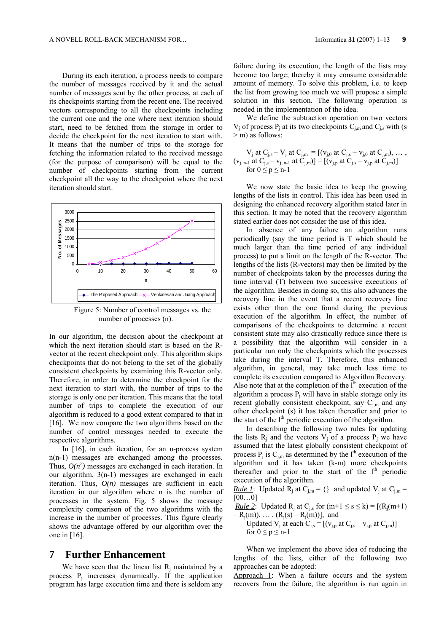During its each iteration, a process needs to compare the number of messages received by it and the actual number of messages sent by the other process, at each of its checkpoints starting from the recent one. The received vectors corresponding to all the checkpoints including the current one and the one where next iteration should start, need to be fetched from the storage in order to decide the checkpoint for the next iteration to start with. It means that the number of trips to the storage for fetching the information related to the received message (for the purpose of comparison) will be equal to the number of checkpoints starting from the current checkpoint all the way to the checkpoint where the next iteration should start.



Figure 5: Number of control messages vs. the number of processes (n).

In our algorithm, the decision about the checkpoint at which the next iteration should start is based on the Rvector at the recent checkpoint only. This algorithm skips checkpoints that do not belong to the set of the globally consistent checkpoints by examining this R-vector only. Therefore, in order to determine the checkpoint for the next iteration to start with, the number of trips to the storage is only one per iteration. This means that the total number of trips to complete the execution of our algorithm is reduced to a good extent compared to that in [16]. We now compare the two algorithms based on the number of control messages needed to execute the respective algorithms.

In [16], in each iteration, for an n-process system n(n-1) messages are exchanged among the processes. Thus,  $O(n^2)$  messages are exchanged in each iteration. In our algorithm, 3(n-1) messages are exchanged in each iteration. Thus,  $O(n)$  messages are sufficient in each iteration in our algorithm where n is the number of processes in the system. Fig. 5 shows the message complexity comparison of the two algorithms with the increase in the number of processes. This figure clearly shows the advantage offered by our algorithm over the one in [16].

#### **7 Further Enhancement**

We have seen that the linear list  $R_i$  maintained by a process  $P_i$  increases dynamically. If the application program has large execution time and there is seldom any

failure during its execution, the length of the lists may become too large; thereby it may consume considerable amount of memory. To solve this problem, i.e. to keep the list from growing too much we will propose a simple solution in this section. The following operation is needed in the implementation of the idea.

We define the subtraction operation on two vectors  $V_i$  of process  $P_i$  at its two checkpoints  $C_{i,m}$  and  $C_{i,s}$  with (s  $>$ m) as follows:

$$
V_j \text{ at } C_{j,s} - V_j \text{ at } C_{j,m} = [(v_{j,0} \text{ at } C_{j,s} - v_{j,0} \text{ at } C_{j,m}), \dots, (v_{j,n-1} \text{ at } C_{j,s} - v_{j,n-1} \text{ at } C_{j,m})] = [(v_{j,p} \text{ at } C_{j,s} - v_{j,p} \text{ at } C_{j,m})] \text{ for } 0 \le p \le n-1
$$

We now state the basic idea to keep the growing lengths of the lists in control. This idea has been used in designing the enhanced recovery algorithm stated later in this section. It may be noted that the recovery algorithm stated earlier does not consider the use of this idea.

In absence of any failure an algorithm runs periodically (say the time period is T which should be much larger than the time period of any individual process) to put a limit on the length of the R-vector. The lengths of the lists (R-vectors) may then be limited by the number of checkpoints taken by the processes during the time interval (T) between two successive executions of the algorithm. Besides in doing so, this also advances the recovery line in the event that a recent recovery line exists other than the one found during the previous execution of the algorithm. In effect, the number of comparisons of the checkpoints to determine a recent consistent state may also drastically reduce since there is a possibility that the algorithm will consider in a particular run only the checkpoints which the processes take during the interval T. Therefore, this enhanced algorithm, in general, may take much less time to complete its execution compared to Algorithm Recovery. Also note that at the completion of the  $I<sup>th</sup>$  execution of the algorithm a process  $P_i$  will have in stable storage only its recent globally consistent checkpoint, say  $C_{i,m}$  and any other checkpoint (s) it has taken thereafter and prior to the start of the  $l<sup>th</sup>$  periodic execution of the algorithm.

In describing the following two rules for updating the lists  $R_i$  and the vectors  $V_i$  of a process  $P_i$  we have assumed that the latest globally consistent checkpoint of process  $P_i$  is  $C_{i,m}$  as determined by the l<sup>th</sup> execution of the algorithm and it has taken (k-m) more checkpoints thereafter and prior to the start of the  $1<sup>th</sup>$  periodic execution of the algorithm.

*Rule 1*: Updated  $\overline{R}_i$  at  $C_{i,m} = \{\}$  and updated  $V_i$  at  $C_{i,m} =$  $[00...0]$ 

*Rule 2*: Updated R<sub>i</sub> at C<sub>is</sub> for  $(m+1 \le s \le k) = [(R_i(m+1))$  $-R_j(m)$ , ...,  $(R_j(s) - R_j(m))]$ , and

Updated  $V_j$  at each  $C_{j,s} = [(v_{j,p} \text{ at } C_{j,s} - v_{j,p} \text{ at } C_{j,m})]$ for  $0 \le p \le n-1$ 

When we implement the above idea of reducing the lengths of the lists, either of the following two approaches can be adopted:

Approach 1: When a failure occurs and the system recovers from the failure, the algorithm is run again in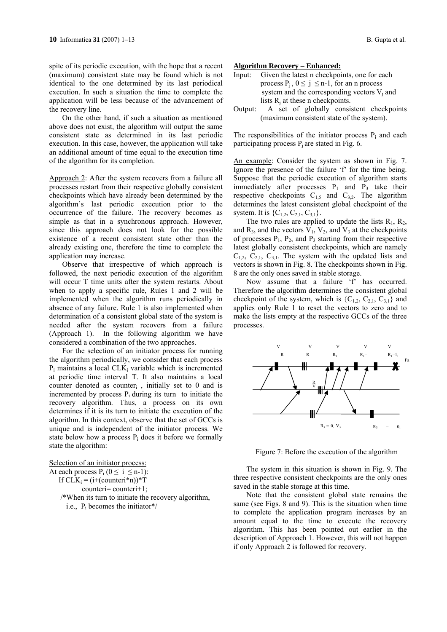spite of its periodic execution, with the hope that a recent (maximum) consistent state may be found which is not identical to the one determined by its last periodical execution. In such a situation the time to complete the application will be less because of the advancement of the recovery line.

On the other hand, if such a situation as mentioned above does not exist, the algorithm will output the same consistent state as determined in its last periodic execution. In this case, however, the application will take an additional amount of time equal to the execution time of the algorithm for its completion.

Approach 2: After the system recovers from a failure all processes restart from their respective globally consistent checkpoints which have already been determined by the algorithm's last periodic execution prior to the occurrence of the failure. The recovery becomes as simple as that in a synchronous approach. However, since this approach does not look for the possible existence of a recent consistent state other than the already existing one, therefore the time to complete the application may increase.

Observe that irrespective of which approach is followed, the next periodic execution of the algorithm will occur T time units after the system restarts. About when to apply a specific rule, Rules 1 and 2 will be implemented when the algorithm runs periodically in absence of any failure. Rule 1 is also implemented when determination of a consistent global state of the system is needed after the system recovers from a failure (Approach 1). In the following algorithm we have considered a combination of the two approaches.

For the selection of an initiator process for running the algorithm periodically, we consider that each process  $P_i$  maintains a local CLK<sub>i</sub> variable which is incremented at periodic time interval T. It also maintains a local counter denoted as counter<sub>i</sub>, initially set to  $0$  and is incremented by process  $P_i$  during its turn to initiate the recovery algorithm. Thus, a process on its own determines if it is its turn to initiate the execution of the algorithm. In this context, observe that the set of GCCs is unique and is independent of the initiator process. We state below how a process  $P_i$  does it before we formally state the algorithm:

Selection of an initiator process: At each process  $P_i$  ( $0 \le i \le n-1$ ): If  $CLK_i = (i + (counteri*n))^*T$  counteri= counteri+1; /\*When its turn to initiate the recovery algorithm,

i.e.,  $P_i$  becomes the initiator\*/

**Algorithm Recovery – Enhanced:**

- Input:Given the latest n checkpoints, one for each process  $P_i$ ,  $0 \le i \le n-1$ , for an n process system and the corresponding vectors  $V_i$  and lists  $R_i$  at these n checkpoints.
- Output: A set of globally consistent checkpoints (maximum consistent state of the system).

The responsibilities of the initiator process  $P_i$  and each participating process  $P_i$  are stated in Fig. 6.

An example: Consider the system as shown in Fig. 7. Ignore the presence of the failure 'f' for the time being. Suppose that the periodic execution of algorithm starts immediately after processes  $P_1$  and  $P_3$  take their respective checkpoints  $C_{1,5}$  and  $C_{3,2}$ . The algorithm determines the latest consistent global checkpoint of the system. It is  ${C_{1,2}, C_{2,1}, C_{3,1}}$ .

The two rules are applied to update the lists  $R_1$ ,  $R_2$ , and  $R_3$ , and the vectors  $V_1$ ,  $V_2$ , and  $V_3$  at the checkpoints of processes  $P_1$ ,  $P_2$ , and  $P_3$  starting from their respective latest globally consistent checkpoints, which are namely  $C_{1,2}$ ,  $C_{2,1}$ ,  $C_{3,1}$ . The system with the updated lists and vectors is shown in Fig. 8. The checkpoints shown in Fig. 8 are the only ones saved in stable storage.

Now assume that a failure 'f' has occurred. Therefore the algorithm determines the consistent global checkpoint of the system, which is  ${C_{1,2}, C_{2,1}, C_{3,1}}$  and applies only Rule 1 to reset the vectors to zero and to make the lists empty at the respective GCCs of the three processes.



Figure 7: Before the execution of the algorithm

The system in this situation is shown in Fig. 9. The three respective consistent checkpoints are the only ones saved in the stable storage at this time.

Note that the consistent global state remains the same (see Figs. 8 and 9). This is the situation when time to complete the application program increases by an amount equal to the time to execute the recovery algorithm. This has been pointed out earlier in the description of Approach 1. However, this will not happen if only Approach 2 is followed for recovery.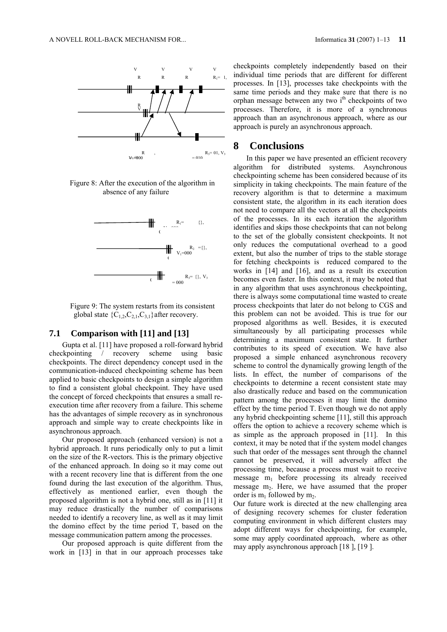

Figure 8: After the execution of the algorithm in absence of any failure



Figure 9: The system restarts from its consistent global state  ${C_{1,2}, C_{2,1}, C_{3,1}}$  after recovery.

#### **7.1 Comparison with [11] and [13]**

Gupta et al. [11] have proposed a roll-forward hybrid checkpointing / recovery scheme using basic checkpoints. The direct dependency concept used in the communication-induced checkpointing scheme has been applied to basic checkpoints to design a simple algorithm to find a consistent global checkpoint. They have used the concept of forced checkpoints that ensures a small reexecution time after recovery from a failure. This scheme has the advantages of simple recovery as in synchronous approach and simple way to create checkpoints like in asynchronous approach.

Our proposed approach (enhanced version) is not a hybrid approach. It runs periodically only to put a limit on the size of the R-vectors. This is the primary objective of the enhanced approach. In doing so it may come out with a recent recovery line that is different from the one found during the last execution of the algorithm. Thus, effectively as mentioned earlier, even though the proposed algorithm is not a hybrid one, still as in [11] it may reduce drastically the number of comparisons needed to identify a recovery line, as well as it may limit the domino effect by the time period T, based on the message communication pattern among the processes.

Our proposed approach is quite different from the work in [13] in that in our approach processes take

checkpoints completely independently based on their individual time periods that are different for different processes. In [13], processes take checkpoints with the same time periods and they make sure that there is no orphan message between any two i<sup>th</sup> checkpoints of two processes. Therefore, it is more of a synchronous approach than an asynchronous approach, where as our approach is purely an asynchronous approach.

## **8 Conclusions**

In this paper we have presented an efficient recovery algorithm for distributed systems. Asynchronous checkpointing scheme has been considered because of its simplicity in taking checkpoints. The main feature of the recovery algorithm is that to determine a maximum consistent state, the algorithm in its each iteration does not need to compare all the vectors at all the checkpoints of the processes. In its each iteration the algorithm identifies and skips those checkpoints that can not belong to the set of the globally consistent checkpoints. It not only reduces the computational overhead to a good extent, but also the number of trips to the stable storage for fetching checkpoints is reduced compared to the works in [14] and [16], and as a result its execution becomes even faster. In this context, it may be noted that in any algorithm that uses asynchronous checkpointing, there is always some computational time wasted to create process checkpoints that later do not belong to CGS and this problem can not be avoided. This is true for our proposed algorithms as well. Besides, it is executed simultaneously by all participating processes while determining a maximum consistent state. It further contributes to its speed of execution. We have also proposed a simple enhanced asynchronous recovery scheme to control the dynamically growing length of the lists. In effect, the number of comparisons of the checkpoints to determine a recent consistent state may also drastically reduce and based on the communication pattern among the processes it may limit the domino effect by the time period T. Even though we do not apply any hybrid checkpointing scheme [11], still this approach offers the option to achieve a recovery scheme which is as simple as the approach proposed in [11]. In this context, it may be noted that if the system model changes such that order of the messages sent through the channel cannot be preserved, it will adversely affect the processing time, because a process must wait to receive message  $m_1$  before processing its already received message m<sub>2</sub>. Here, we have assumed that the proper order is  $m_1$  followed by  $m_2$ .

Our future work is directed at the new challenging area of designing recovery schemes for cluster federation computing environment in which different clusters may adopt different ways for checkpointing, for example, some may apply coordinated approach, where as other may apply asynchronous approach [18 ], [19 ].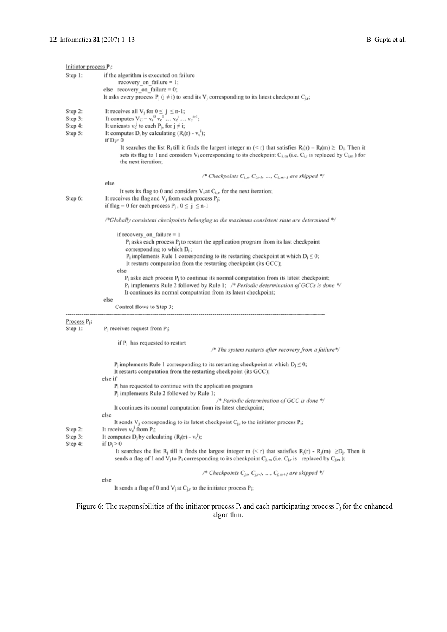| Initiator process $P_i$ :                    |                                                                                                                                                                                                                                                                                                                                                                                                                                                                                                                                                                                                              |
|----------------------------------------------|--------------------------------------------------------------------------------------------------------------------------------------------------------------------------------------------------------------------------------------------------------------------------------------------------------------------------------------------------------------------------------------------------------------------------------------------------------------------------------------------------------------------------------------------------------------------------------------------------------------|
| Step 1:                                      | if the algorithm is executed on failure<br>recovery on failure $= 1$ ;<br>else recovery on failure $= 0$ ;<br>It asks every process $P_i$ ( $j \neq i$ ) to send its $V_i$ corresponding to its latest checkpoint $C_{i,j}$ ;                                                                                                                                                                                                                                                                                                                                                                                |
| Step 2:<br>Step 3:<br>Step 4:<br>Step 5:     | It receives all V <sub>j</sub> for $0 \le j \le n-1$ ;<br>It computes $V_C = v_c^0 v_c^1  v_c^j  v_c^{n-1}$ ;<br>It unicasts $v_c^j$ to each $P_j$ , for $j \neq i$ ;<br>It computes $D_i$ by calculating $(R_i(r) - v_c^i)$ ;<br>if $D_i > 0$<br>It searches the list R <sub>i</sub> till it finds the largest integer m (< r) that satisfies $R_i(r) - R_i(m) \ge D_i$ . Then it<br>sets its flag to 1 and considers V <sub>i</sub> corresponding to its checkpoint $C_{i,m}$ (i.e. $C_{i,r}$ is replaced by $C_{i,m}$ ) for<br>the next iteration;                                                        |
|                                              | /* Checkpoints $C_{i,n}$ , $C_{i,r,j}$ , , $C_{i,m+j}$ are skipped */<br>else                                                                                                                                                                                                                                                                                                                                                                                                                                                                                                                                |
| Step 6:                                      | It sets its flag to 0 and considers $V_i$ at $C_{i,r}$ for the next iteration;<br>It receives the flag and $V_i$ from each process $P_i$ ;<br>if flag = 0 for each process $P_i$ , $0 \le j \le n-1$                                                                                                                                                                                                                                                                                                                                                                                                         |
|                                              | /*Globally consistent checkpoints belonging to the maximum consistent state are determined */                                                                                                                                                                                                                                                                                                                                                                                                                                                                                                                |
|                                              | if recovery on failure $= 1$<br>$P_i$ asks each process $P_i$ to restart the application program from its last checkpoint<br>corresponding to which $D_i$ ;<br>$P_i$ implements Rule 1 corresponding to its restarting checkpoint at which $D_i \le 0$ ;<br>It restarts computation from the restarting checkpoint (its GCC);<br>else<br>$P_i$ asks each process $P_i$ to continue its normal computation from its latest checkpoint;<br>$P_i$ implements Rule 2 followed by Rule 1; /* Periodic determination of GCCs is done */<br>It continues its normal computation from its latest checkpoint;<br>else |
|                                              | Control flows to Step 3;                                                                                                                                                                                                                                                                                                                                                                                                                                                                                                                                                                                     |
| Process <sub>P<sub>i</sub>:</sub><br>Step 1: | $P_i$ receives request from $P_i$ ;<br>if $P_i$ has requested to restart                                                                                                                                                                                                                                                                                                                                                                                                                                                                                                                                     |
|                                              | /* The system restarts after recovery from a failure*/<br>$P_i$ implements Rule 1 corresponding to its restarting checkpoint at which $D_i \leq 0$ ;<br>It restarts computation from the restarting checkpoint (its GCC);<br>else if<br>$P_i$ has requested to continue with the application program<br>$P_i$ implements Rule 2 followed by Rule 1;<br>/* Periodic determination of GCC is done */<br>It continues its normal computation from its latest checkpoint;<br>else<br>It sends $V_j$ corresponding to its latest checkpoint $C_{j,r}$ to the initiator process $P_i$ ;                            |
| Step 2:                                      | It receives $v_c^j$ from $P_i$ ;                                                                                                                                                                                                                                                                                                                                                                                                                                                                                                                                                                             |
| Step 3:<br>Step 4:                           | It computes $D_j$ by calculating $(R_j(r) - v_c^j)$ ;<br>if $D_i > 0$<br>It searches the list R <sub>j</sub> till it finds the largest integer m (< r) that satisfies R <sub>j</sub> (r) - R <sub>j</sub> (m) $\geq$ D <sub>j</sub> . Then it<br>sends a flag of 1 and V <sub>i</sub> to P <sub>i</sub> corresponding to its checkpoint $C_{j,m}$ (i.e. $C_{j,r}$ is replaced by $C_{j,m}$ );                                                                                                                                                                                                                |
|                                              | /* Checkpoints $C_{i,n}$ , $C_{j,n,i}$ , , $C_{j,m+1}$ are skipped */                                                                                                                                                                                                                                                                                                                                                                                                                                                                                                                                        |
|                                              | else<br>It sends a flag of 0 and $V_i$ at $C_{i,r}$ to the initiator process $P_i$ ;                                                                                                                                                                                                                                                                                                                                                                                                                                                                                                                         |